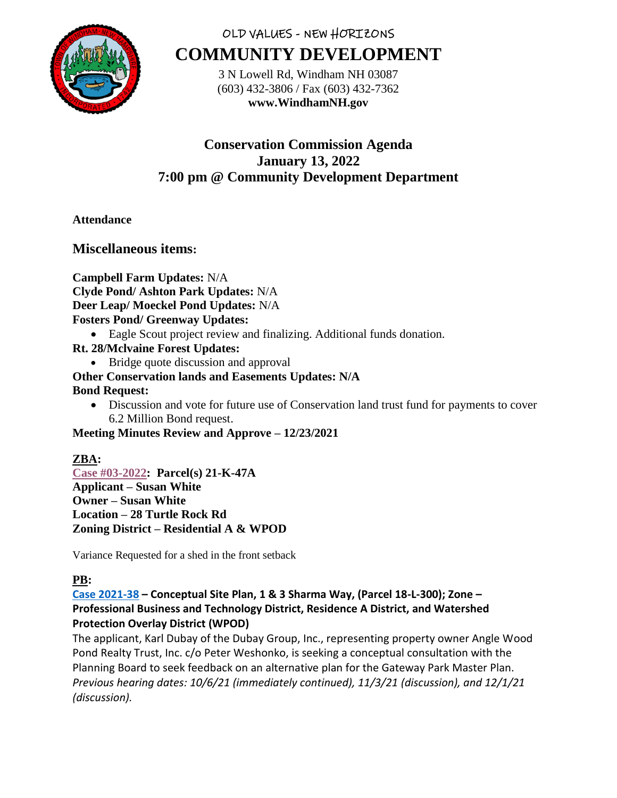

# OLD VALUES - NEW HORIZONS **COMMUNITY DEVELOPMENT**

3 N Lowell Rd, Windham NH 03087 (603) 432-3806 / Fax (603) 432-7362 **www.WindhamNH.gov**

# **Conservation Commission Agenda January 13, 2022 7:00 pm @ Community Development Department**

## **Attendance**

## **Miscellaneous items:**

**Campbell Farm Updates:** N/A **Clyde Pond/ Ashton Park Updates:** N/A **Deer Leap/ Moeckel Pond Updates:** N/A **Fosters Pond/ Greenway Updates:**

- Eagle Scout project review and finalizing. Additional funds donation.
- **Rt. 28/Mclvaine Forest Updates:** 
	- Bridge quote discussion and approval

# **Other Conservation lands and Easements Updates: N/A**

## **Bond Request:**

• Discussion and vote for future use of Conservation land trust fund for payments to cover 6.2 Million Bond request.

**Meeting Minutes Review and Approve – 12/23/2021**

## **ZBA:**

**[Case #03-2022:](https://nh-windham.civicplus.com/DocumentCenter/Index/892) Parcel(s) 21-K-47A Applicant – Susan White Owner – Susan White Location – 28 Turtle Rock Rd Zoning District – Residential A & WPOD**

Variance Requested for a shed in the front setback

## **PB:**

**[Case 2021-38](https://www.windhamnh.gov/DocumentCenter/Index/749) – Conceptual Site Plan, 1 & 3 Sharma Way, (Parcel 18-L-300); Zone – Professional Business and Technology District, Residence A District, and Watershed Protection Overlay District (WPOD)**

The applicant, Karl Dubay of the Dubay Group, Inc., representing property owner Angle Wood Pond Realty Trust, Inc. c/o Peter Weshonko, is seeking a conceptual consultation with the Planning Board to seek feedback on an alternative plan for the Gateway Park Master Plan. *Previous hearing dates: 10/6/21 (immediately continued), 11/3/21 (discussion), and 12/1/21 (discussion).*